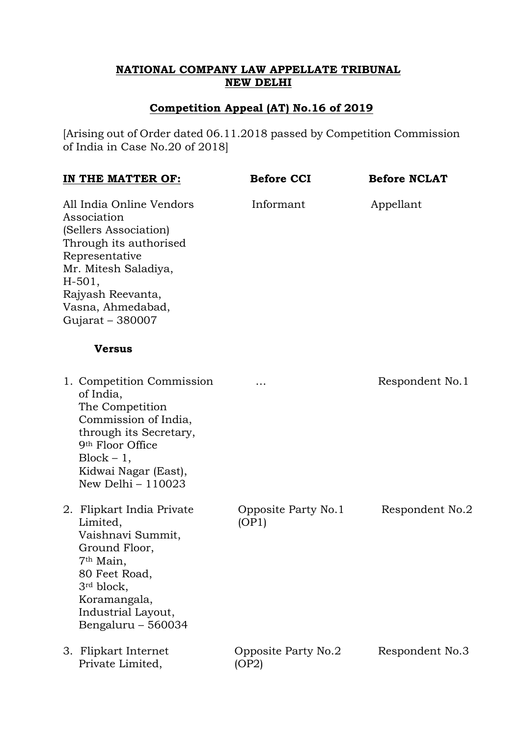## **NATIONAL COMPANY LAW APPELLATE TRIBUNAL NEW DELHI**

## **Competition Appeal (AT) No.16 of 2019**

[Arising out of Order dated 06.11.2018 passed by Competition Commission of India in Case No.20 of 2018]

| IN THE MATTER OF:<br>All India Online Vendors<br>Association<br>(Sellers Association)<br>Through its authorised<br>Representative<br>Mr. Mitesh Saladiya,<br>$H-501,$<br>Rajyash Reevanta,<br>Vasna, Ahmedabad,<br>Gujarat - 380007 |                                                                                                                                                                                                             | <b>Before CCI</b>            | <b>Before NCLAT</b><br>Appellant |
|-------------------------------------------------------------------------------------------------------------------------------------------------------------------------------------------------------------------------------------|-------------------------------------------------------------------------------------------------------------------------------------------------------------------------------------------------------------|------------------------------|----------------------------------|
|                                                                                                                                                                                                                                     |                                                                                                                                                                                                             | Informant                    |                                  |
|                                                                                                                                                                                                                                     | <b>Versus</b>                                                                                                                                                                                               |                              |                                  |
|                                                                                                                                                                                                                                     | 1. Competition Commission<br>of India,<br>The Competition<br>Commission of India,<br>through its Secretary,<br>9th Floor Office<br>$Block - 1,$<br>Kidwai Nagar (East),<br>New Delhi - 110023               | .                            | Respondent No.1                  |
|                                                                                                                                                                                                                                     | 2. Flipkart India Private<br>Limited,<br>Vaishnavi Summit,<br>Ground Floor,<br>7 <sup>th</sup> Main,<br>80 Feet Road,<br>3 <sup>rd</sup> block,<br>Koramangala,<br>Industrial Layout,<br>Bengaluru - 560034 | Opposite Party No.1<br>(OP1) | Respondent No.2                  |
|                                                                                                                                                                                                                                     | 3. Flipkart Internet<br>Private Limited,                                                                                                                                                                    | Opposite Party No.2<br>(OP2) | Respondent No.3                  |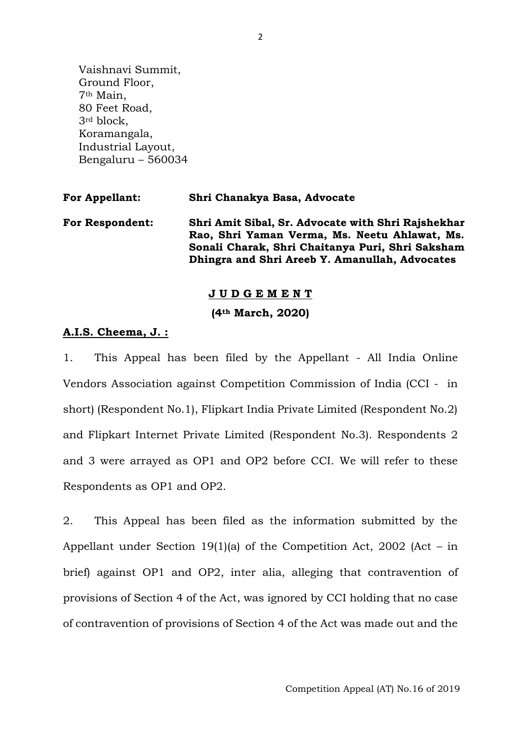Vaishnavi Summit, Ground Floor, 7th Main, 80 Feet Road, 3rd block, Koramangala, Industrial Layout, Bengaluru – 560034

| <b>For Appellant:</b>  | Shri Chanakya Basa, Advocate                                                                                                                                                                              |
|------------------------|-----------------------------------------------------------------------------------------------------------------------------------------------------------------------------------------------------------|
| <b>For Respondent:</b> | Shri Amit Sibal, Sr. Advocate with Shri Rajshekhar<br>Rao, Shri Yaman Verma, Ms. Neetu Ahlawat, Ms.<br>Sonali Charak, Shri Chaitanya Puri, Shri Saksham<br>Dhingra and Shri Areeb Y. Amanullah, Advocates |

## **J U D G E M E N T (4th March, 2020)**

## **A.I.S. Cheema, J. :**

1. This Appeal has been filed by the Appellant - All India Online Vendors Association against Competition Commission of India (CCI - in short) (Respondent No.1), Flipkart India Private Limited (Respondent No.2) and Flipkart Internet Private Limited (Respondent No.3). Respondents 2 and 3 were arrayed as OP1 and OP2 before CCI. We will refer to these Respondents as OP1 and OP2.

2. This Appeal has been filed as the information submitted by the Appellant under Section 19(1)(a) of the Competition Act, 2002 (Act – in brief) against OP1 and OP2, inter alia, alleging that contravention of provisions of Section 4 of the Act, was ignored by CCI holding that no case of contravention of provisions of Section 4 of the Act was made out and the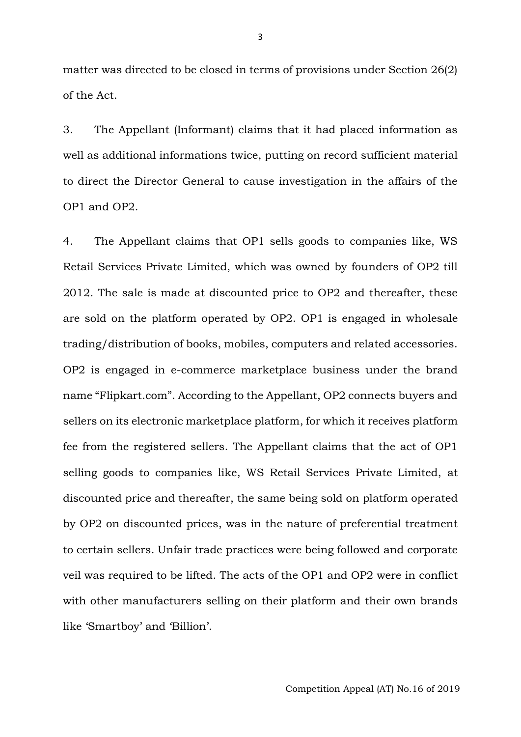matter was directed to be closed in terms of provisions under Section 26(2) of the Act.

3. The Appellant (Informant) claims that it had placed information as well as additional informations twice, putting on record sufficient material to direct the Director General to cause investigation in the affairs of the OP1 and OP2.

4. The Appellant claims that OP1 sells goods to companies like, WS Retail Services Private Limited, which was owned by founders of OP2 till 2012. The sale is made at discounted price to OP2 and thereafter, these are sold on the platform operated by OP2. OP1 is engaged in wholesale trading/distribution of books, mobiles, computers and related accessories. OP2 is engaged in e-commerce marketplace business under the brand name "Flipkart.com". According to the Appellant, OP2 connects buyers and sellers on its electronic marketplace platform, for which it receives platform fee from the registered sellers. The Appellant claims that the act of OP1 selling goods to companies like, WS Retail Services Private Limited, at discounted price and thereafter, the same being sold on platform operated by OP2 on discounted prices, was in the nature of preferential treatment to certain sellers. Unfair trade practices were being followed and corporate veil was required to be lifted. The acts of the OP1 and OP2 were in conflict with other manufacturers selling on their platform and their own brands like 'Smartboy' and 'Billion'.

Competition Appeal (AT) No.16 of 2019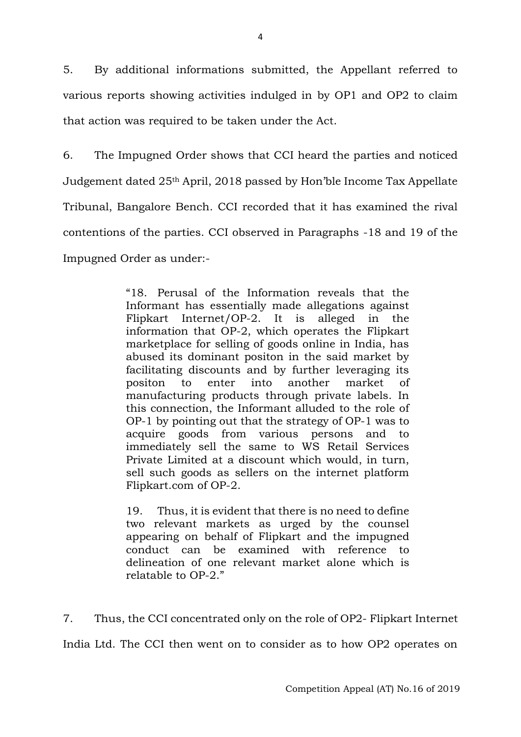5. By additional informations submitted, the Appellant referred to various reports showing activities indulged in by OP1 and OP2 to claim that action was required to be taken under the Act.

6. The Impugned Order shows that CCI heard the parties and noticed Judgement dated 25th April, 2018 passed by Hon'ble Income Tax Appellate Tribunal, Bangalore Bench. CCI recorded that it has examined the rival contentions of the parties. CCI observed in Paragraphs -18 and 19 of the Impugned Order as under:-

> "18. Perusal of the Information reveals that the Informant has essentially made allegations against Flipkart Internet/OP-2. It is alleged in the information that OP-2, which operates the Flipkart marketplace for selling of goods online in India, has abused its dominant positon in the said market by facilitating discounts and by further leveraging its positon to enter into another market of manufacturing products through private labels. In this connection, the Informant alluded to the role of OP-1 by pointing out that the strategy of OP-1 was to acquire goods from various persons and to immediately sell the same to WS Retail Services Private Limited at a discount which would, in turn, sell such goods as sellers on the internet platform Flipkart.com of OP-2.

> 19. Thus, it is evident that there is no need to define two relevant markets as urged by the counsel appearing on behalf of Flipkart and the impugned conduct can be examined with reference to delineation of one relevant market alone which is relatable to OP-2."

7. Thus, the CCI concentrated only on the role of OP2- Flipkart Internet India Ltd. The CCI then went on to consider as to how OP2 operates on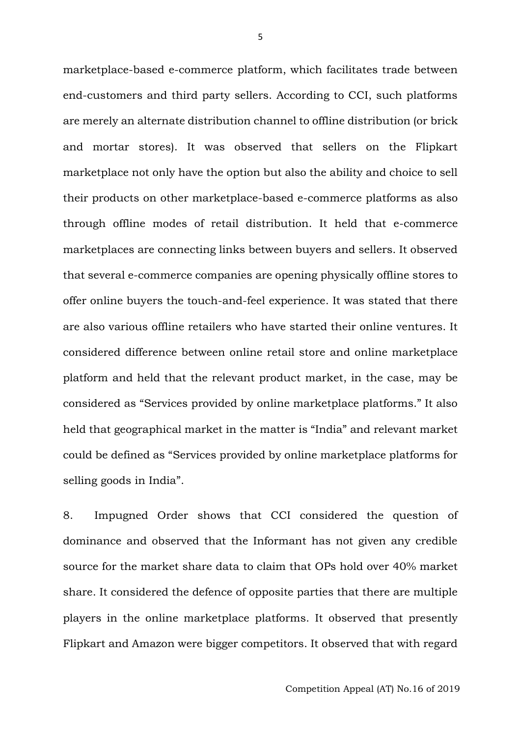marketplace-based e-commerce platform, which facilitates trade between end-customers and third party sellers. According to CCI, such platforms are merely an alternate distribution channel to offline distribution (or brick and mortar stores). It was observed that sellers on the Flipkart marketplace not only have the option but also the ability and choice to sell their products on other marketplace-based e-commerce platforms as also through offline modes of retail distribution. It held that e-commerce marketplaces are connecting links between buyers and sellers. It observed that several e-commerce companies are opening physically offline stores to offer online buyers the touch-and-feel experience. It was stated that there are also various offline retailers who have started their online ventures. It considered difference between online retail store and online marketplace platform and held that the relevant product market, in the case, may be considered as "Services provided by online marketplace platforms." It also held that geographical market in the matter is "India" and relevant market could be defined as "Services provided by online marketplace platforms for selling goods in India".

8. Impugned Order shows that CCI considered the question of dominance and observed that the Informant has not given any credible source for the market share data to claim that OPs hold over 40% market share. It considered the defence of opposite parties that there are multiple players in the online marketplace platforms. It observed that presently Flipkart and Amazon were bigger competitors. It observed that with regard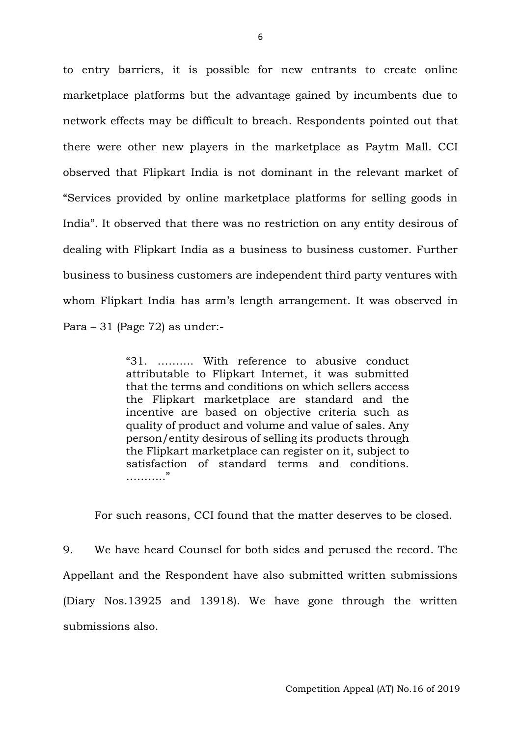to entry barriers, it is possible for new entrants to create online marketplace platforms but the advantage gained by incumbents due to network effects may be difficult to breach. Respondents pointed out that there were other new players in the marketplace as Paytm Mall. CCI observed that Flipkart India is not dominant in the relevant market of "Services provided by online marketplace platforms for selling goods in India". It observed that there was no restriction on any entity desirous of dealing with Flipkart India as a business to business customer. Further business to business customers are independent third party ventures with whom Flipkart India has arm's length arrangement. It was observed in Para – 31 (Page 72) as under:-

> "31. ………. With reference to abusive conduct attributable to Flipkart Internet, it was submitted that the terms and conditions on which sellers access the Flipkart marketplace are standard and the incentive are based on objective criteria such as quality of product and volume and value of sales. Any person/entity desirous of selling its products through the Flipkart marketplace can register on it, subject to satisfaction of standard terms and conditions. ……….."

For such reasons, CCI found that the matter deserves to be closed.

9. We have heard Counsel for both sides and perused the record. The Appellant and the Respondent have also submitted written submissions (Diary Nos.13925 and 13918). We have gone through the written submissions also.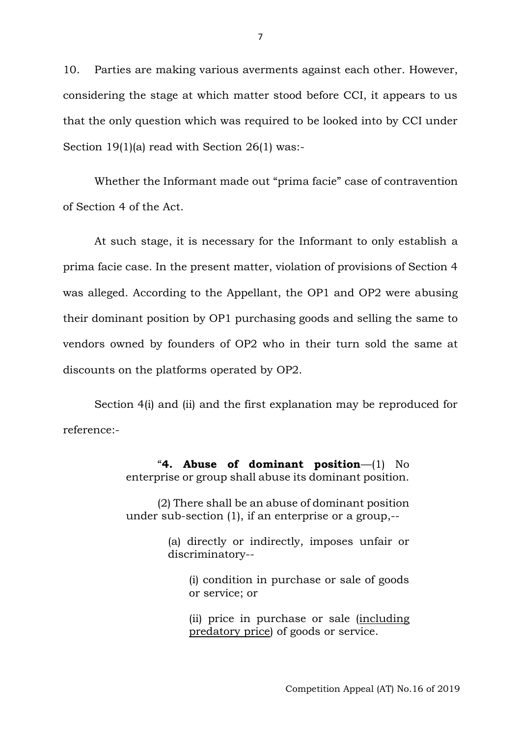10. Parties are making various averments against each other. However, considering the stage at which matter stood before CCI, it appears to us that the only question which was required to be looked into by CCI under Section 19(1)(a) read with Section 26(1) was:-

Whether the Informant made out "prima facie" case of contravention of Section 4 of the Act.

At such stage, it is necessary for the Informant to only establish a prima facie case. In the present matter, violation of provisions of Section 4 was alleged. According to the Appellant, the OP1 and OP2 were abusing their dominant position by OP1 purchasing goods and selling the same to vendors owned by founders of OP2 who in their turn sold the same at discounts on the platforms operated by OP2.

Section 4(i) and (ii) and the first explanation may be reproduced for reference:-

> "**4. Abuse of dominant position**—(1) No enterprise or group shall abuse its dominant position.

> (2) There shall be an abuse of dominant position under sub-section (1), if an enterprise or a group,--

> > (a) directly or indirectly, imposes unfair or discriminatory--

(i) condition in purchase or sale of goods or service; or

(ii) price in purchase or sale (including predatory price) of goods or service.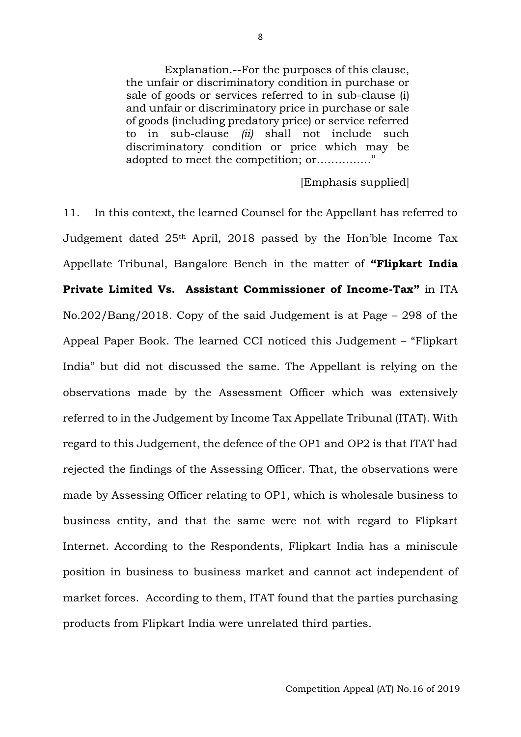Explanation.--For the purposes of this clause, the unfair or discriminatory condition in purchase or sale of goods or services referred to in sub-clause (i) and unfair or discriminatory price in purchase or sale of goods (including predatory price) or service referred to in sub-clause *(ii)* shall not include such discriminatory condition or price which may be adopted to meet the competition; or……………"

[Emphasis supplied]

11. In this context, the learned Counsel for the Appellant has referred to Judgement dated 25th April, 2018 passed by the Hon'ble Income Tax Appellate Tribunal, Bangalore Bench in the matter of **"Flipkart India Private Limited Vs. Assistant Commissioner of Income-Tax"** in ITA No.202/Bang/2018. Copy of the said Judgement is at Page – 298 of the Appeal Paper Book. The learned CCI noticed this Judgement – "Flipkart India" but did not discussed the same. The Appellant is relying on the observations made by the Assessment Officer which was extensively referred to in the Judgement by Income Tax Appellate Tribunal (ITAT). With regard to this Judgement, the defence of the OP1 and OP2 is that ITAT had rejected the findings of the Assessing Officer. That, the observations were made by Assessing Officer relating to OP1, which is wholesale business to business entity, and that the same were not with regard to Flipkart Internet. According to the Respondents, Flipkart India has a miniscule position in business to business market and cannot act independent of market forces. According to them, ITAT found that the parties purchasing products from Flipkart India were unrelated third parties.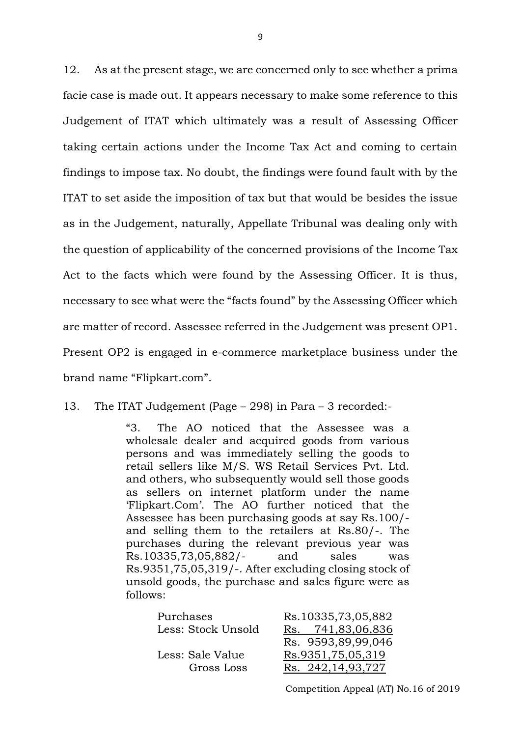12. As at the present stage, we are concerned only to see whether a prima facie case is made out. It appears necessary to make some reference to this Judgement of ITAT which ultimately was a result of Assessing Officer taking certain actions under the Income Tax Act and coming to certain findings to impose tax. No doubt, the findings were found fault with by the ITAT to set aside the imposition of tax but that would be besides the issue as in the Judgement, naturally, Appellate Tribunal was dealing only with the question of applicability of the concerned provisions of the Income Tax Act to the facts which were found by the Assessing Officer. It is thus, necessary to see what were the "facts found" by the Assessing Officer which are matter of record. Assessee referred in the Judgement was present OP1. Present OP2 is engaged in e-commerce marketplace business under the brand name "Flipkart.com".

13. The ITAT Judgement (Page – 298) in Para – 3 recorded:-

"3. The AO noticed that the Assessee was a wholesale dealer and acquired goods from various persons and was immediately selling the goods to retail sellers like M/S. WS Retail Services Pvt. Ltd. and others, who subsequently would sell those goods as sellers on internet platform under the name 'Flipkart.Com'. The AO further noticed that the Assessee has been purchasing goods at say Rs.100/ and selling them to the retailers at Rs.80/-. The purchases during the relevant previous year was Rs.10335,73,05,882/- and sales was Rs.9351,75,05,319/-. After excluding closing stock of unsold goods, the purchase and sales figure were as follows:

| Purchases          | Rs.10335,73,05,882   |
|--------------------|----------------------|
| Less: Stock Unsold | Rs. 741,83,06,836    |
|                    | Rs. 9593,89,99,046   |
| Less: Sale Value   | Rs.9351,75,05,319    |
| Gross Loss         | Rs. 242, 14, 93, 727 |
|                    |                      |

Competition Appeal (AT) No.16 of 2019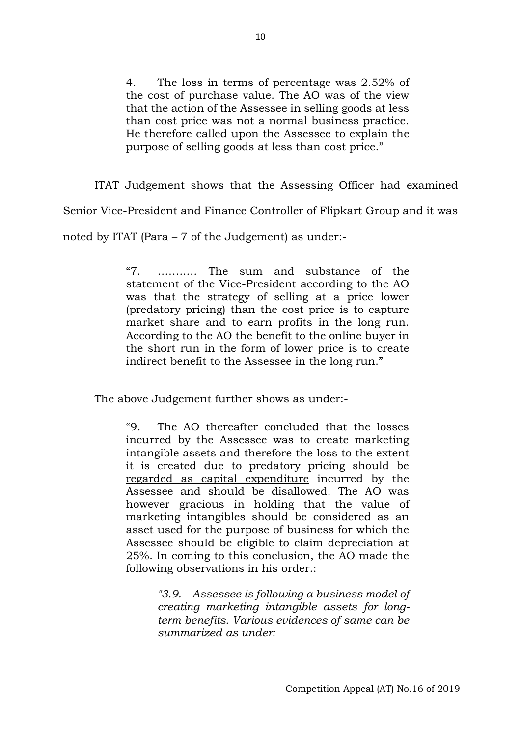4. The loss in terms of percentage was 2.52% of the cost of purchase value. The AO was of the view that the action of the Assessee in selling goods at less than cost price was not a normal business practice. He therefore called upon the Assessee to explain the purpose of selling goods at less than cost price."

ITAT Judgement shows that the Assessing Officer had examined Senior Vice-President and Finance Controller of Flipkart Group and it was noted by ITAT (Para – 7 of the Judgement) as under:-

> "7. ……..… The sum and substance of the statement of the Vice-President according to the AO was that the strategy of selling at a price lower (predatory pricing) than the cost price is to capture market share and to earn profits in the long run. According to the AO the benefit to the online buyer in the short run in the form of lower price is to create indirect benefit to the Assessee in the long run."

The above Judgement further shows as under:-

"9. The AO thereafter concluded that the losses incurred by the Assessee was to create marketing intangible assets and therefore the loss to the extent it is created due to predatory pricing should be regarded as capital expenditure incurred by the Assessee and should be disallowed. The AO was however gracious in holding that the value of marketing intangibles should be considered as an asset used for the purpose of business for which the Assessee should be eligible to claim depreciation at 25%. In coming to this conclusion, the AO made the following observations in his order.:

> *"3.9. Assessee is following a business model of creating marketing intangible assets for longterm benefits. Various evidences of same can be summarized as under:*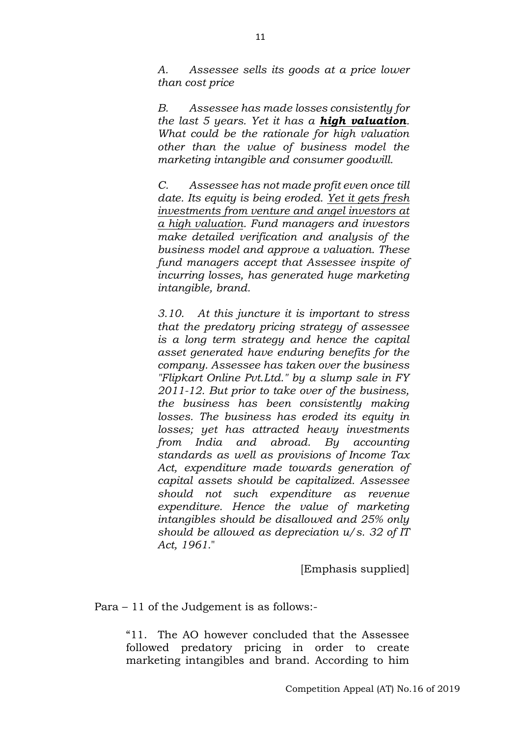*A. Assessee sells its goods at a price lower than cost price* 

*B. Assessee has made losses consistently for the last 5 years. Yet it has a high valuation. What could be the rationale for high valuation other than the value of business model the marketing intangible and consumer goodwill.*

*C. Assessee has not made profit even once till date. Its equity is being eroded. Yet it gets fresh investments from venture and angel investors at a high valuation. Fund managers and investors make detailed verification and analysis of the business model and approve a valuation. These fund managers accept that Assessee inspite of incurring losses, has generated huge marketing intangible, brand.*

*3.10. At this juncture it is important to stress that the predatory pricing strategy of assessee is a long term strategy and hence the capital asset generated have enduring benefits for the company. Assessee has taken over the business "Flipkart Online Pvt.Ltd." by a slump sale in FY 2011-12. But prior to take over of the business, the business has been consistently making losses. The business has eroded its equity in losses; yet has attracted heavy investments from India and abroad. By accounting standards as well as provisions of [Income Tax](https://indiankanoon.org/doc/789969/)  [Act,](https://indiankanoon.org/doc/789969/) expenditure made towards generation of capital assets should be capitalized. Assessee should not such expenditure as revenue expenditure. Hence the value of marketing intangibles should be disallowed and 25% only should be allowed as depreciation u/s. 32 of [IT](https://indiankanoon.org/doc/789969/)  [Act,](https://indiankanoon.org/doc/789969/) 1961.*"

[Emphasis supplied]

Para – 11 of the Judgement is as follows:-

"11. The AO however concluded that the Assessee followed predatory pricing in order to create marketing intangibles and brand. According to him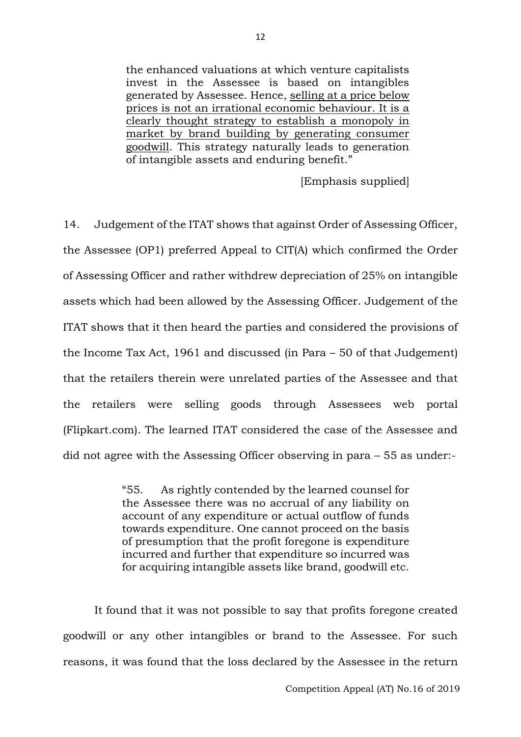the enhanced valuations at which venture capitalists invest in the Assessee is based on intangibles generated by Assessee. Hence, selling at a price below prices is not an irrational economic behaviour. It is a clearly thought strategy to establish a monopoly in market by brand building by generating consumer goodwill. This strategy naturally leads to generation of intangible assets and enduring benefit."

[Emphasis supplied]

14. Judgement of the ITAT shows that against Order of Assessing Officer, the Assessee (OP1) preferred Appeal to CIT(A) which confirmed the Order of Assessing Officer and rather withdrew depreciation of 25% on intangible assets which had been allowed by the Assessing Officer. Judgement of the ITAT shows that it then heard the parties and considered the provisions of the Income Tax Act, 1961 and discussed (in Para – 50 of that Judgement) that the retailers therein were unrelated parties of the Assessee and that the retailers were selling goods through Assessees web portal (Flipkart.com). The learned ITAT considered the case of the Assessee and did not agree with the Assessing Officer observing in para – 55 as under:-

> "55. As rightly contended by the learned counsel for the Assessee there was no accrual of any liability on account of any expenditure or actual outflow of funds towards expenditure. One cannot proceed on the basis of presumption that the profit foregone is expenditure incurred and further that expenditure so incurred was for acquiring intangible assets like brand, goodwill etc.

It found that it was not possible to say that profits foregone created goodwill or any other intangibles or brand to the Assessee. For such reasons, it was found that the loss declared by the Assessee in the return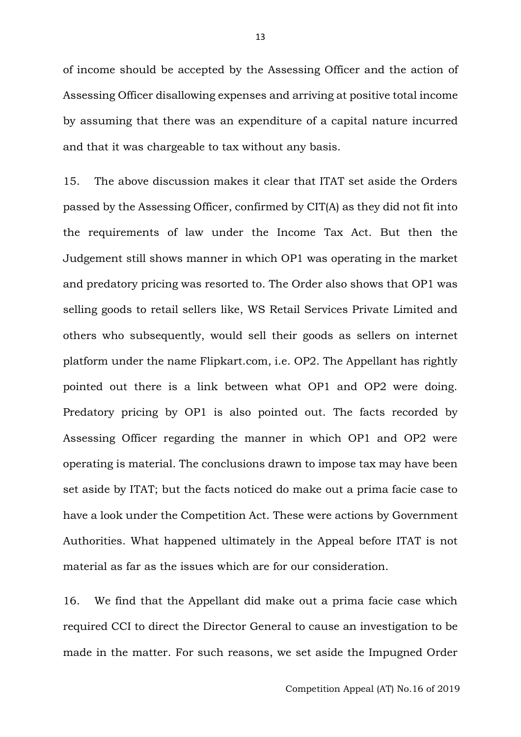of income should be accepted by the Assessing Officer and the action of Assessing Officer disallowing expenses and arriving at positive total income by assuming that there was an expenditure of a capital nature incurred and that it was chargeable to tax without any basis.

15. The above discussion makes it clear that ITAT set aside the Orders passed by the Assessing Officer, confirmed by CIT(A) as they did not fit into the requirements of law under the Income Tax Act. But then the Judgement still shows manner in which OP1 was operating in the market and predatory pricing was resorted to. The Order also shows that OP1 was selling goods to retail sellers like, WS Retail Services Private Limited and others who subsequently, would sell their goods as sellers on internet platform under the name Flipkart.com, i.e. OP2. The Appellant has rightly pointed out there is a link between what OP1 and OP2 were doing. Predatory pricing by OP1 is also pointed out. The facts recorded by Assessing Officer regarding the manner in which OP1 and OP2 were operating is material. The conclusions drawn to impose tax may have been set aside by ITAT; but the facts noticed do make out a prima facie case to have a look under the Competition Act. These were actions by Government Authorities. What happened ultimately in the Appeal before ITAT is not material as far as the issues which are for our consideration.

16. We find that the Appellant did make out a prima facie case which required CCI to direct the Director General to cause an investigation to be made in the matter. For such reasons, we set aside the Impugned Order